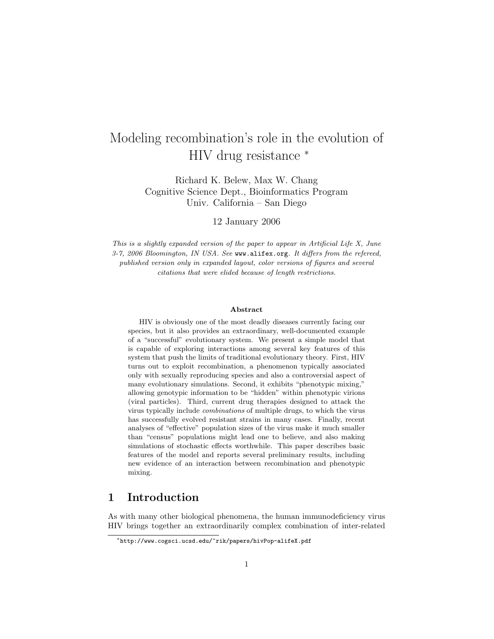# Modeling recombination's role in the evolution of HIV drug resistance <sup>∗</sup>

Richard K. Belew, Max W. Chang Cognitive Science Dept., Bioinformatics Program Univ. California – San Diego

12 January 2006

This is a slightly expanded version of the paper to appear in Artificial Life X, June 3-7, 2006 Bloomington, IN USA. See www.alifex.org. It differs from the refereed, published version only in expanded layout, color versions of figures and several citations that were elided because of length restrictions.

#### Abstract

HIV is obviously one of the most deadly diseases currently facing our species, but it also provides an extraordinary, well-documented example of a "successful" evolutionary system. We present a simple model that is capable of exploring interactions among several key features of this system that push the limits of traditional evolutionary theory. First, HIV turns out to exploit recombination, a phenomenon typically associated only with sexually reproducing species and also a controversial aspect of many evolutionary simulations. Second, it exhibits "phenotypic mixing," allowing genotypic information to be "hidden" within phenotypic virions (viral particles). Third, current drug therapies designed to attack the virus typically include combinations of multiple drugs, to which the virus has successfully evolved resistant strains in many cases. Finally, recent analyses of "effective" population sizes of the virus make it much smaller than "census" populations might lead one to believe, and also making simulations of stochastic effects worthwhile. This paper describes basic features of the model and reports several preliminary results, including new evidence of an interaction between recombination and phenotypic mixing.

# 1 Introduction

As with many other biological phenomena, the human immunodeficiency virus HIV brings together an extraordinarily complex combination of inter-related

<sup>∗</sup>http://www.cogsci.ucsd.edu/~rik/papers/hivPop-alifeX.pdf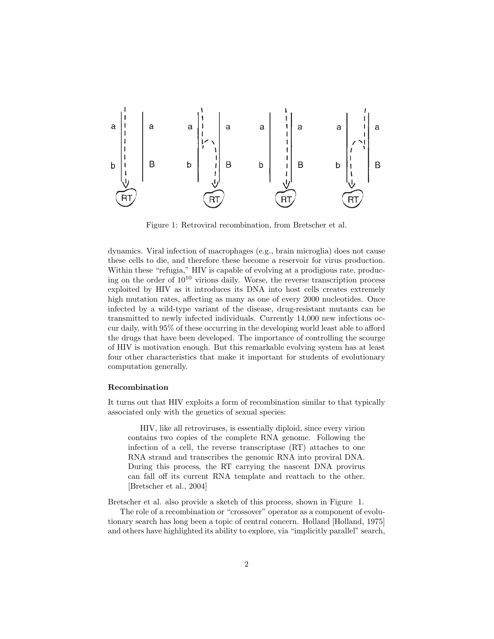

Figure 1: Retroviral recombination, from Bretscher et al.

dynamics. Viral infection of macrophages (e.g., brain microglia) does not cause these cells to die, and therefore these become a reservoir for virus production. Within these "refugia," HIV is capable of evolving at a prodigious rate, producing on the order of  $10^{10}$  virions daily. Worse, the reverse transcription process exploited by HIV as it introduces its DNA into host cells creates extremely high mutation rates, affecting as many as one of every 2000 nucleotides. Once infected by a wild-type variant of the disease, drug-resistant mutants can be transmitted to newly infected individuals. Currently 14,000 new infections occur daily, with 95% of these occurring in the developing world least able to afford the drugs that have been developed. The importance of controlling the scourge of HIV is motivation enough. But this remarkable evolving system has at least four other characteristics that make it important for students of evolutionary computation generally.

#### Recombination

It turns out that HIV exploits a form of recombination similar to that typically associated only with the genetics of sexual species:

HIV, like all retroviruses, is essentially diploid, since every virion contains two copies of the complete RNA genome. Following the infection of a cell, the reverse transcriptase (RT) attaches to one RNA strand and transcribes the genomic RNA into proviral DNA. During this process, the RT carrying the nascent DNA provirus can fall off its current RNA template and reattach to the other. [Bretscher et al., 2004]

Bretscher et al. also provide a sketch of this process, shown in Figure 1.

The role of a recombination or "crossover" operator as a component of evolutionary search has long been a topic of central concern. Holland [Holland, 1975] and others have highlighted its ability to explore, via "implicitly parallel" search,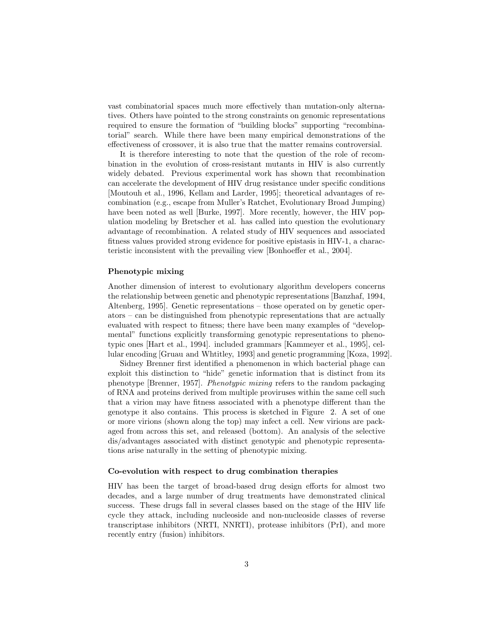vast combinatorial spaces much more effectively than mutation-only alternatives. Others have pointed to the strong constraints on genomic representations required to ensure the formation of "building blocks" supporting "recombinatorial" search. While there have been many empirical demonstrations of the effectiveness of crossover, it is also true that the matter remains controversial.

It is therefore interesting to note that the question of the role of recombination in the evolution of cross-resistant mutants in HIV is also currently widely debated. Previous experimental work has shown that recombination can accelerate the development of HIV drug resistance under specific conditions [Moutouh et al., 1996, Kellam and Larder, 1995]; theoretical advantages of recombination (e.g., escape from Muller's Ratchet, Evolutionary Broad Jumping) have been noted as well [Burke, 1997]. More recently, however, the HIV population modeling by Bretscher et al. has called into question the evolutionary advantage of recombination. A related study of HIV sequences and associated fitness values provided strong evidence for positive epistasis in HIV-1, a characteristic inconsistent with the prevailing view [Bonhoeffer et al., 2004].

#### Phenotypic mixing

Another dimension of interest to evolutionary algorithm developers concerns the relationship between genetic and phenotypic representations [Banzhaf, 1994, Altenberg, 1995]. Genetic representations – those operated on by genetic operators – can be distinguished from phenotypic representations that are actually evaluated with respect to fitness; there have been many examples of "developmental" functions explicitly transforming genotypic representations to phenotypic ones [Hart et al., 1994]. included grammars [Kammeyer et al., 1995], cellular encoding [Gruau and Whtitley, 1993] and genetic programming [Koza, 1992].

Sidney Brenner first identified a phenomenon in which bacterial phage can exploit this distinction to "hide" genetic information that is distinct from its phenotype [Brenner, 1957]. Phenotypic mixing refers to the random packaging of RNA and proteins derived from multiple proviruses within the same cell such that a virion may have fitness associated with a phenotype different than the genotype it also contains. This process is sketched in Figure 2. A set of one or more virions (shown along the top) may infect a cell. New virions are packaged from across this set, and released (bottom). An analysis of the selective dis/advantages associated with distinct genotypic and phenotypic representations arise naturally in the setting of phenotypic mixing.

#### Co-evolution with respect to drug combination therapies

HIV has been the target of broad-based drug design efforts for almost two decades, and a large number of drug treatments have demonstrated clinical success. These drugs fall in several classes based on the stage of the HIV life cycle they attack, including nucleoside and non-nucleoside classes of reverse transcriptase inhibitors (NRTI, NNRTI), protease inhibitors (PrI), and more recently entry (fusion) inhibitors.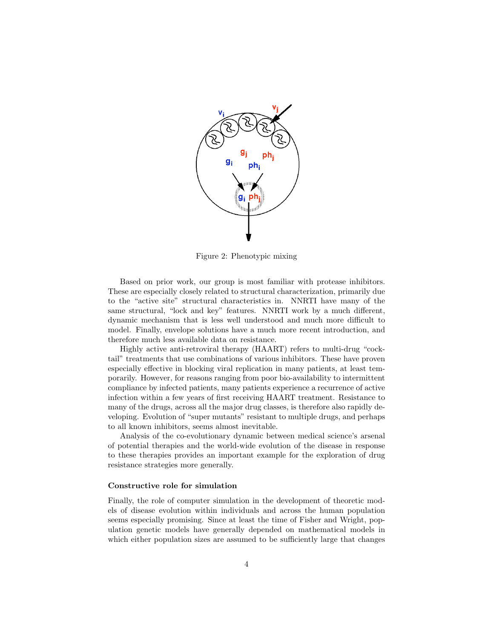

Figure 2: Phenotypic mixing

Based on prior work, our group is most familiar with protease inhibitors. These are especially closely related to structural characterization, primarily due to the "active site" structural characteristics in. NNRTI have many of the same structural, "lock and key" features. NNRTI work by a much different, dynamic mechanism that is less well understood and much more difficult to model. Finally, envelope solutions have a much more recent introduction, and therefore much less available data on resistance.

Highly active anti-retroviral therapy (HAART) refers to multi-drug "cocktail" treatments that use combinations of various inhibitors. These have proven especially effective in blocking viral replication in many patients, at least temporarily. However, for reasons ranging from poor bio-availability to intermittent compliance by infected patients, many patients experience a recurrence of active infection within a few years of first receiving HAART treatment. Resistance to many of the drugs, across all the major drug classes, is therefore also rapidly developing. Evolution of "super mutants" resistant to multiple drugs, and perhaps to all known inhibitors, seems almost inevitable.

Analysis of the co-evolutionary dynamic between medical science's arsenal of potential therapies and the world-wide evolution of the disease in response to these therapies provides an important example for the exploration of drug resistance strategies more generally.

#### Constructive role for simulation

Finally, the role of computer simulation in the development of theoretic models of disease evolution within individuals and across the human population seems especially promising. Since at least the time of Fisher and Wright, population genetic models have generally depended on mathematical models in which either population sizes are assumed to be sufficiently large that changes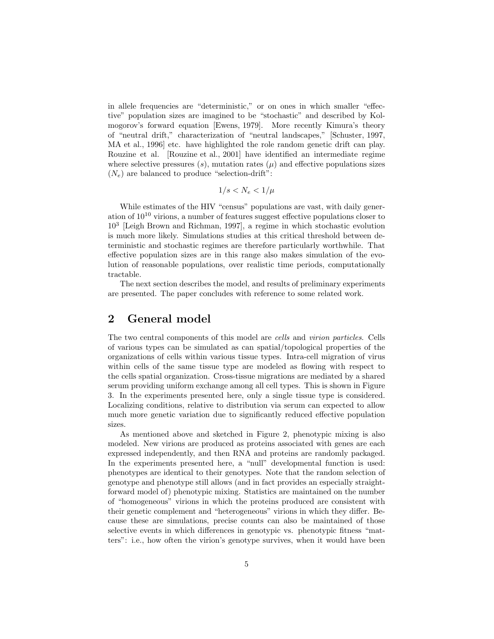in allele frequencies are "deterministic," or on ones in which smaller "effective" population sizes are imagined to be "stochastic" and described by Kolmogorov's forward equation [Ewens, 1979]. More recently Kimura's theory of "neutral drift," characterization of "neutral landscapes," [Schuster, 1997, MA et al., 1996] etc. have highlighted the role random genetic drift can play. Rouzine et al. [Rouzine et al., 2001] have identified an intermediate regime where selective pressures  $(s)$ , mutation rates  $(\mu)$  and effective populations sizes  $(N_e)$  are balanced to produce "selection-drift":

$$
1/s < N_e < 1/\mu
$$

While estimates of the HIV "census" populations are vast, with daily generation of  $10^{10}$  virions, a number of features suggest effective populations closer to 10<sup>3</sup> [Leigh Brown and Richman, 1997], a regime in which stochastic evolution is much more likely. Simulations studies at this critical threshold between deterministic and stochastic regimes are therefore particularly worthwhile. That effective population sizes are in this range also makes simulation of the evolution of reasonable populations, over realistic time periods, computationally tractable.

The next section describes the model, and results of preliminary experiments are presented. The paper concludes with reference to some related work.

### 2 General model

The two central components of this model are cells and virion particles. Cells of various types can be simulated as can spatial/topological properties of the organizations of cells within various tissue types. Intra-cell migration of virus within cells of the same tissue type are modeled as flowing with respect to the cells spatial organization. Cross-tissue migrations are mediated by a shared serum providing uniform exchange among all cell types. This is shown in Figure 3. In the experiments presented here, only a single tissue type is considered. Localizing conditions, relative to distribution via serum can expected to allow much more genetic variation due to significantly reduced effective population sizes.

As mentioned above and sketched in Figure 2, phenotypic mixing is also modeled. New virions are produced as proteins associated with genes are each expressed independently, and then RNA and proteins are randomly packaged. In the experiments presented here, a "null" developmental function is used: phenotypes are identical to their genotypes. Note that the random selection of genotype and phenotype still allows (and in fact provides an especially straightforward model of) phenotypic mixing. Statistics are maintained on the number of "homogeneous" virions in which the proteins produced are consistent with their genetic complement and "heterogeneous" virions in which they differ. Because these are simulations, precise counts can also be maintained of those selective events in which differences in genotypic vs. phenotypic fitness "matters": i.e., how often the virion's genotype survives, when it would have been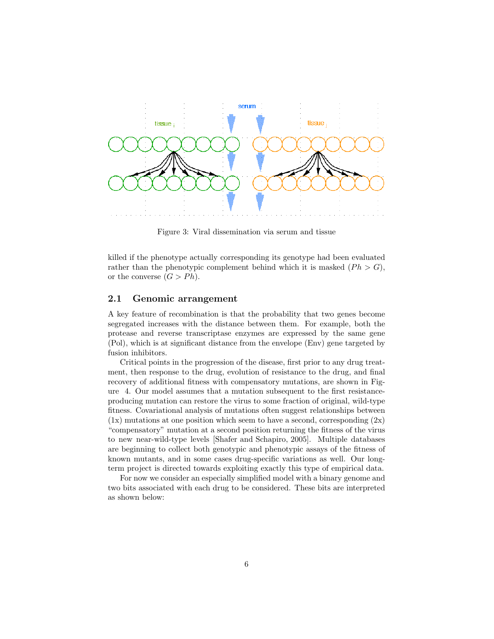

Figure 3: Viral dissemination via serum and tissue

killed if the phenotype actually corresponding its genotype had been evaluated rather than the phenotypic complement behind which it is masked  $(Ph > G)$ , or the converse  $(G > Ph)$ .

#### 2.1 Genomic arrangement

A key feature of recombination is that the probability that two genes become segregated increases with the distance between them. For example, both the protease and reverse transcriptase enzymes are expressed by the same gene (Pol), which is at significant distance from the envelope (Env) gene targeted by fusion inhibitors.

Critical points in the progression of the disease, first prior to any drug treatment, then response to the drug, evolution of resistance to the drug, and final recovery of additional fitness with compensatory mutations, are shown in Figure 4. Our model assumes that a mutation subsequent to the first resistanceproducing mutation can restore the virus to some fraction of original, wild-type fitness. Covariational analysis of mutations often suggest relationships between  $(1x)$  mutations at one position which seem to have a second, corresponding  $(2x)$ "compensatory" mutation at a second position returning the fitness of the virus to new near-wild-type levels [Shafer and Schapiro, 2005]. Multiple databases are beginning to collect both genotypic and phenotypic assays of the fitness of known mutants, and in some cases drug-specific variations as well. Our longterm project is directed towards exploiting exactly this type of empirical data.

For now we consider an especially simplified model with a binary genome and two bits associated with each drug to be considered. These bits are interpreted as shown below: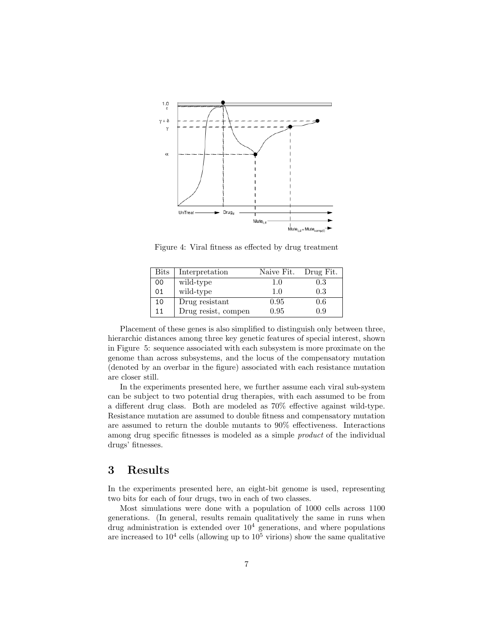

Figure 4: Viral fitness as effected by drug treatment

| $_{\rm{Bits}}$ | Interpretation      | Naive Fit. | Drug Fit. |
|----------------|---------------------|------------|-----------|
| 00             | wild-type           | 1.0        | $\rm 0.3$ |
| 01             | wild-type           | 1.0        | 0.3       |
| 10             | Drug resistant      | 0.95       | $0.6\,$   |
| 11             | Drug resist, compen | 0.95       | 0.9       |

Placement of these genes is also simplified to distinguish only between three, hierarchic distances among three key genetic features of special interest, shown in Figure 5: sequence associated with each subsystem is more proximate on the genome than across subsystems, and the locus of the compensatory mutation (denoted by an overbar in the figure) associated with each resistance mutation are closer still.

In the experiments presented here, we further assume each viral sub-system can be subject to two potential drug therapies, with each assumed to be from a different drug class. Both are modeled as 70% effective against wild-type. Resistance mutation are assumed to double fitness and compensatory mutation are assumed to return the double mutants to 90% effectiveness. Interactions among drug specific fitnesses is modeled as a simple product of the individual drugs' fitnesses.

### 3 Results

In the experiments presented here, an eight-bit genome is used, representing two bits for each of four drugs, two in each of two classes.

Most simulations were done with a population of 1000 cells across 1100 generations. (In general, results remain qualitatively the same in runs when drug administration is extended over  $10<sup>4</sup>$  generations, and where populations are increased to  $10^4$  cells (allowing up to  $10^5$  virions) show the same qualitative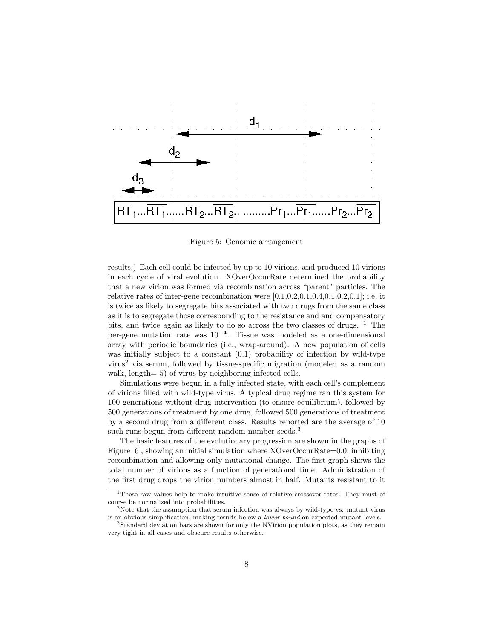

Figure 5: Genomic arrangement

results.) Each cell could be infected by up to 10 virions, and produced 10 virions in each cycle of viral evolution. XOverOccurRate determined the probability that a new virion was formed via recombination across "parent" particles. The relative rates of inter-gene recombination were  $[0.1, 0.2, 0.1, 0.4, 0.1, 0.2, 0.1]$ ; i.e, it is twice as likely to segregate bits associated with two drugs from the same class as it is to segregate those corresponding to the resistance and and compensatory bits, and twice again as likely to do so across the two classes of drugs. <sup>1</sup> The per-gene mutation rate was 10<sup>−</sup><sup>4</sup> . Tissue was modeled as a one-dimensional array with periodic boundaries (i.e., wrap-around). A new population of cells was initially subject to a constant (0.1) probability of infection by wild-type virus<sup>2</sup> via serum, followed by tissue-specific migration (modeled as a random walk, length= 5) of virus by neighboring infected cells.

Simulations were begun in a fully infected state, with each cell's complement of virions filled with wild-type virus. A typical drug regime ran this system for 100 generations without drug intervention (to ensure equilibrium), followed by 500 generations of treatment by one drug, followed 500 generations of treatment by a second drug from a different class. Results reported are the average of 10 such runs begun from different random number seeds.<sup>3</sup>

The basic features of the evolutionary progression are shown in the graphs of Figure 6 , showing an initial simulation where XOverOccurRate=0.0, inhibiting recombination and allowing only mutational change. The first graph shows the total number of virions as a function of generational time. Administration of the first drug drops the virion numbers almost in half. Mutants resistant to it

<sup>&</sup>lt;sup>1</sup>These raw values help to make intuitive sense of relative crossover rates. They must of course be normalized into probabilities.

<sup>&</sup>lt;sup>2</sup>Note that the assumption that serum infection was always by wild-type vs. mutant virus is an obvious simplification, making results below a lower bound on expected mutant levels.

<sup>&</sup>lt;sup>3</sup>Standard deviation bars are shown for only the NVirion population plots, as they remain very tight in all cases and obscure results otherwise.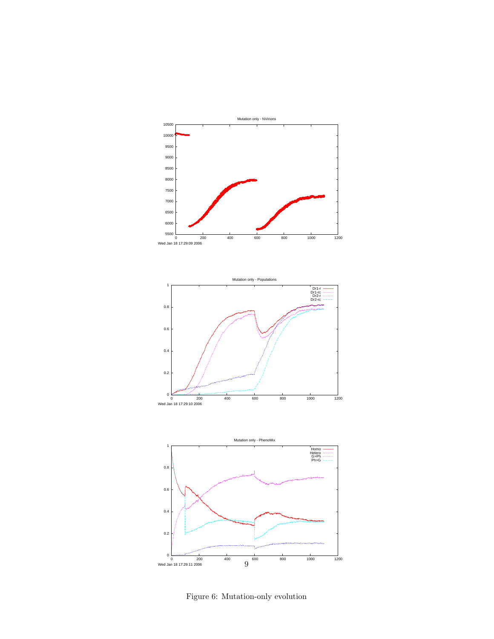





Figure 6: Mutation-only evolution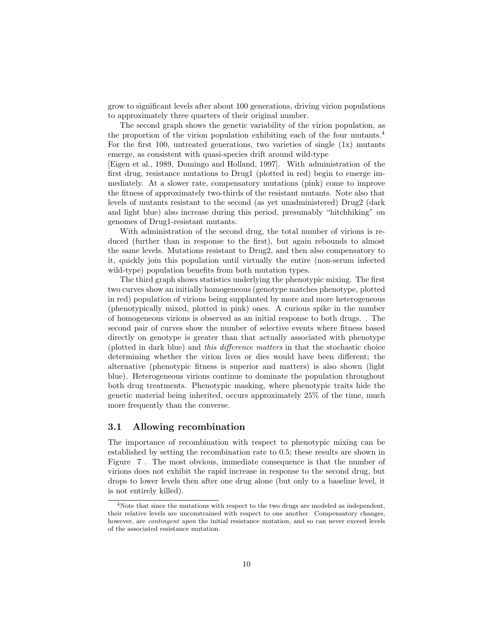grow to significant levels after about 100 generations, driving virion populations to approximately three quarters of their original number.

The second graph shows the genetic variability of the virion population, as the proportion of the virion population exhibiting each of the four mutants.<sup>4</sup> For the first 100, untreated generations, two varieties of single  $(1x)$  mutants emerge, as consistent with quasi-species drift around wild-type

[Eigen et al., 1989, Domingo and Holland, 1997]. With administration of the first drug, resistance mutations to Drug1 (plotted in red) begin to emerge immediately. At a slower rate, compensatory mutations (pink) come to improve the fitness of approximately two-thirds of the resistant mutants. Note also that levels of mutants resistant to the second (as yet unadministered) Drug2 (dark and light blue) also increase during this period, presumably "hitchhiking" on genomes of Drug1-resistant mutants.

With administration of the second drug, the total number of virions is reduced (further than in response to the first), but again rebounds to almost the same levels. Mutations resistant to Drug2, and then also compensatory to it, quickly join this population until virtually the entire (non-serum infected wild-type) population benefits from both mutation types.

The third graph shows statistics underlying the phenotypic mixing. The first two curves show an initially homogeneous (genotype matches phenotype, plotted in red) population of virions being supplanted by more and more heterogeneous (phenotypically mixed, plotted in pink) ones. A curious spike in the number of homogeneous virions is observed as an initial response to both drugs. . The second pair of curves show the number of selective events where fitness based directly on genotype is greater than that actually associated with phenotype (plotted in dark blue) and this difference matters in that the stochastic choice determining whether the virion lives or dies would have been different; the alternative (phenotypic fitness is superior and matters) is also shown (light blue). Heterogeneous virions continue to dominate the population throughout both drug treatments. Phenotypic masking, where phenotypic traits hide the genetic material being inherited, occurs approximately 25% of the time, much more frequently than the converse.

### 3.1 Allowing recombination

The importance of recombination with respect to phenotypic mixing can be established by setting the recombination rate to 0.5; these results are shown in Figure 7 . The most obvious, immediate consequence is that the number of virions does not exhibit the rapid increase in response to the second drug, but drops to lower levels then after one drug alone (but only to a baseline level, it is not entirely killed).

<sup>&</sup>lt;sup>4</sup>Note that since the mutations with respect to the two drugs are modeled as independent, their relative levels are unconstrained with respect to one another. Compensatory changes, however, are *contingent upon* the initial resistance mutation, and so can never exceed levels of the associated resistance mutation.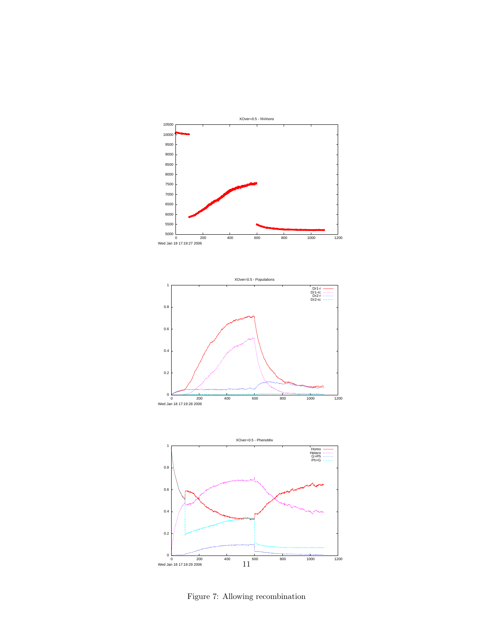





Figure 7: Allowing recombination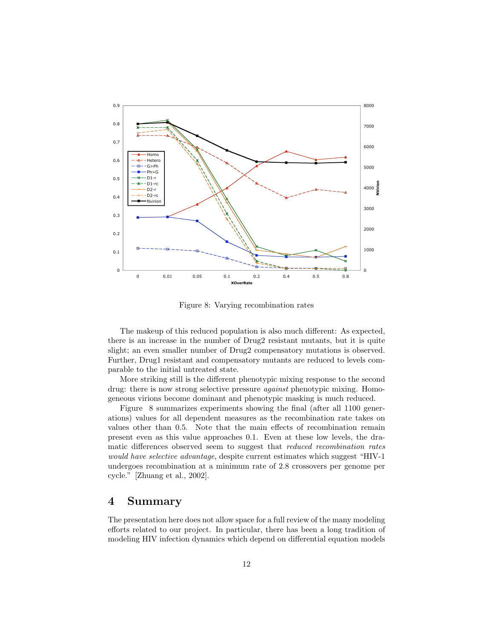

Figure 8: Varying recombination rates

The makeup of this reduced population is also much different: As expected, there is an increase in the number of Drug2 resistant mutants, but it is quite slight; an even smaller number of Drug2 compensatory mutations is observed. Further, Drug1 resistant and compensatory mutants are reduced to levels comparable to the initial untreated state.

More striking still is the different phenotypic mixing response to the second drug: there is now strong selective pressure *against* phenotypic mixing. Homogeneous virions become dominant and phenotypic masking is much reduced.

Figure 8 summarizes experiments showing the final (after all 1100 generations) values for all dependent measures as the recombination rate takes on values other than 0.5. Note that the main effects of recombination remain present even as this value approaches 0.1. Even at these low levels, the dramatic differences observed seem to suggest that *reduced recombination rates* would have selective advantage, despite current estimates which suggest "HIV-1 undergoes recombination at a minimum rate of 2.8 crossovers per genome per cycle." [Zhuang et al., 2002].

## 4 Summary

The presentation here does not allow space for a full review of the many modeling efforts related to our project. In particular, there has been a long tradition of modeling HIV infection dynamics which depend on differential equation models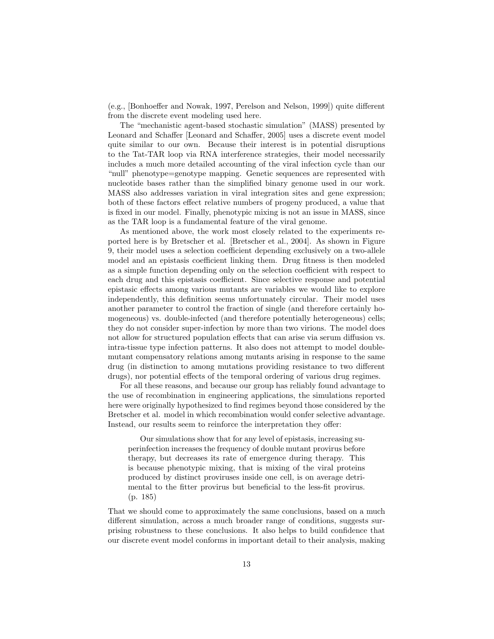(e.g., [Bonhoeffer and Nowak, 1997, Perelson and Nelson, 1999]) quite different from the discrete event modeling used here.

The "mechanistic agent-based stochastic simulation" (MASS) presented by Leonard and Schaffer [Leonard and Schaffer, 2005] uses a discrete event model quite similar to our own. Because their interest is in potential disruptions to the Tat-TAR loop via RNA interference strategies, their model necessarily includes a much more detailed accounting of the viral infection cycle than our "null" phenotype=genotype mapping. Genetic sequences are represented with nucleotide bases rather than the simplified binary genome used in our work. MASS also addresses variation in viral integration sites and gene expression; both of these factors effect relative numbers of progeny produced, a value that is fixed in our model. Finally, phenotypic mixing is not an issue in MASS, since as the TAR loop is a fundamental feature of the viral genome.

As mentioned above, the work most closely related to the experiments reported here is by Bretscher et al. [Bretscher et al., 2004]. As shown in Figure 9, their model uses a selection coefficient depending exclusively on a two-allele model and an epistasis coefficient linking them. Drug fitness is then modeled as a simple function depending only on the selection coefficient with respect to each drug and this epistasis coefficient. Since selective response and potential epistasic effects among various mutants are variables we would like to explore independently, this definition seems unfortunately circular. Their model uses another parameter to control the fraction of single (and therefore certainly homogeneous) vs. double-infected (and therefore potentially heterogeneous) cells; they do not consider super-infection by more than two virions. The model does not allow for structured population effects that can arise via serum diffusion vs. intra-tissue type infection patterns. It also does not attempt to model doublemutant compensatory relations among mutants arising in response to the same drug (in distinction to among mutations providing resistance to two different drugs), nor potential effects of the temporal ordering of various drug regimes.

For all these reasons, and because our group has reliably found advantage to the use of recombination in engineering applications, the simulations reported here were originally hypothesized to find regimes beyond those considered by the Bretscher et al. model in which recombination would confer selective advantage. Instead, our results seem to reinforce the interpretation they offer:

Our simulations show that for any level of epistasis, increasing superinfection increases the frequency of double mutant provirus before therapy, but decreases its rate of emergence during therapy. This is because phenotypic mixing, that is mixing of the viral proteins produced by distinct proviruses inside one cell, is on average detrimental to the fitter provirus but beneficial to the less-fit provirus. (p. 185)

That we should come to approximately the same conclusions, based on a much different simulation, across a much broader range of conditions, suggests surprising robustness to these conclusions. It also helps to build confidence that our discrete event model conforms in important detail to their analysis, making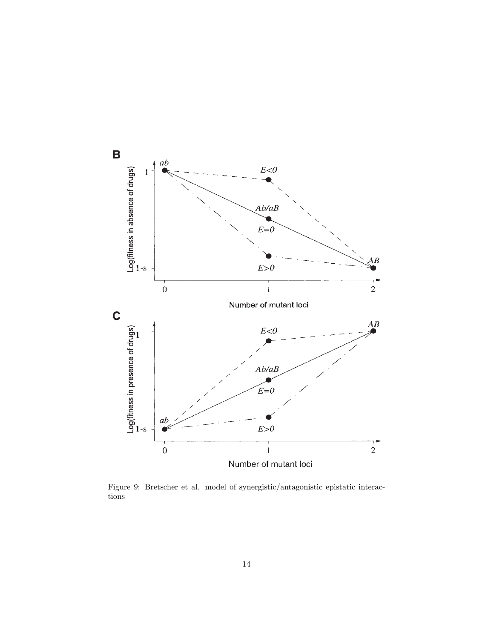

Figure 9: Bretscher et al. model of synergistic/antagonistic epistatic interactions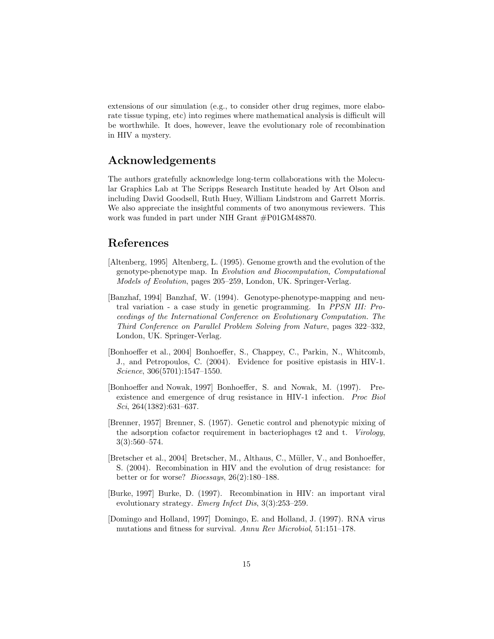extensions of our simulation (e.g., to consider other drug regimes, more elaborate tissue typing, etc) into regimes where mathematical analysis is difficult will be worthwhile. It does, however, leave the evolutionary role of recombination in HIV a mystery.

## Acknowledgements

The authors gratefully acknowledge long-term collaborations with the Molecular Graphics Lab at The Scripps Research Institute headed by Art Olson and including David Goodsell, Ruth Huey, William Lindstrom and Garrett Morris. We also appreciate the insightful comments of two anonymous reviewers. This work was funded in part under NIH Grant #P01GM48870.

## References

- [Altenberg, 1995] Altenberg, L. (1995). Genome growth and the evolution of the genotype-phenotype map. In Evolution and Biocomputation, Computational Models of Evolution, pages 205–259, London, UK. Springer-Verlag.
- [Banzhaf, 1994] Banzhaf, W. (1994). Genotype-phenotype-mapping and neutral variation - a case study in genetic programming. In PPSN III: Proceedings of the International Conference on Evolutionary Computation. The Third Conference on Parallel Problem Solving from Nature, pages 322–332, London, UK. Springer-Verlag.
- [Bonhoeffer et al., 2004] Bonhoeffer, S., Chappey, C., Parkin, N., Whitcomb, J., and Petropoulos, C. (2004). Evidence for positive epistasis in HIV-1. Science, 306(5701):1547–1550.
- [Bonhoeffer and Nowak, 1997] Bonhoeffer, S. and Nowak, M. (1997). Preexistence and emergence of drug resistance in HIV-1 infection. Proc Biol Sci, 264(1382):631–637.
- [Brenner, 1957] Brenner, S. (1957). Genetic control and phenotypic mixing of the adsorption cofactor requirement in bacteriophages t2 and t. Virology,  $3(3):560-574.$
- [Bretscher et al., 2004] Bretscher, M., Althaus, C., Müller, V., and Bonhoeffer, S. (2004). Recombination in HIV and the evolution of drug resistance: for better or for worse? Bioessays, 26(2):180–188.
- [Burke, 1997] Burke, D. (1997). Recombination in HIV: an important viral evolutionary strategy. Emerg Infect Dis, 3(3):253–259.
- [Domingo and Holland, 1997] Domingo, E. and Holland, J. (1997). RNA virus mutations and fitness for survival. Annu Rev Microbiol, 51:151–178.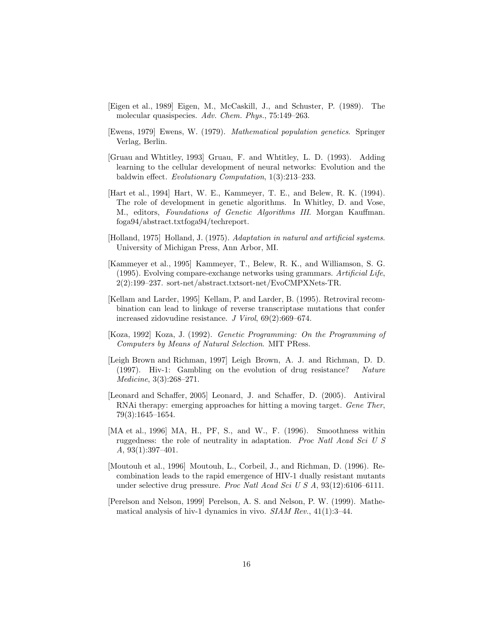- [Eigen et al., 1989] Eigen, M., McCaskill, J., and Schuster, P. (1989). The molecular quasispecies. Adv. Chem. Phys., 75:149–263.
- [Ewens, 1979] Ewens, W. (1979). Mathematical population genetics. Springer Verlag, Berlin.
- [Gruau and Whtitley, 1993] Gruau, F. and Whtitley, L. D. (1993). Adding learning to the cellular development of neural networks: Evolution and the baldwin effect. Evolutionary Computation, 1(3):213–233.
- [Hart et al., 1994] Hart, W. E., Kammeyer, T. E., and Belew, R. K. (1994). The role of development in genetic algorithms. In Whitley, D. and Vose, M., editors, Foundations of Genetic Algorithms III. Morgan Kauffman. foga94/abstract.txtfoga94/techreport.
- [Holland, 1975] Holland, J. (1975). Adaptation in natural and artificial systems. University of Michigan Press, Ann Arbor, MI.
- [Kammeyer et al., 1995] Kammeyer, T., Belew, R. K., and Williamson, S. G. (1995). Evolving compare-exchange networks using grammars. Artificial Life, 2(2):199–237. sort-net/abstract.txtsort-net/EvoCMPXNets-TR.
- [Kellam and Larder, 1995] Kellam, P. and Larder, B. (1995). Retroviral recombination can lead to linkage of reverse transcriptase mutations that confer increased zidovudine resistance. J Virol, 69(2):669–674.
- [Koza, 1992] Koza, J. (1992). Genetic Programming: On the Programming of Computers by Means of Natural Selection. MIT PRess.
- [Leigh Brown and Richman, 1997] Leigh Brown, A. J. and Richman, D. D. (1997). Hiv-1: Gambling on the evolution of drug resistance? Nature Medicine, 3(3):268–271.
- [Leonard and Schaffer, 2005] Leonard, J. and Schaffer, D. (2005). Antiviral RNAi therapy: emerging approaches for hitting a moving target. Gene Ther, 79(3):1645–1654.
- [MA et al., 1996] MA, H., PF, S., and W., F. (1996). Smoothness within ruggedness: the role of neutrality in adaptation. Proc Natl Acad Sci U S A, 93(1):397–401.
- [Moutouh et al., 1996] Moutouh, L., Corbeil, J., and Richman, D. (1996). Recombination leads to the rapid emergence of HIV-1 dually resistant mutants under selective drug pressure. *Proc Natl Acad Sci U S A*, 93(12):6106–6111.
- [Perelson and Nelson, 1999] Perelson, A. S. and Nelson, P. W. (1999). Mathematical analysis of hiv-1 dynamics in vivo. SIAM Rev., 41(1):3–44.